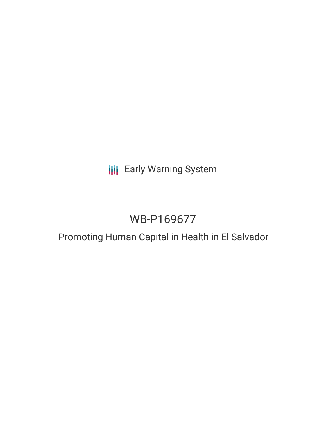**III** Early Warning System

# WB-P169677

# Promoting Human Capital in Health in El Salvador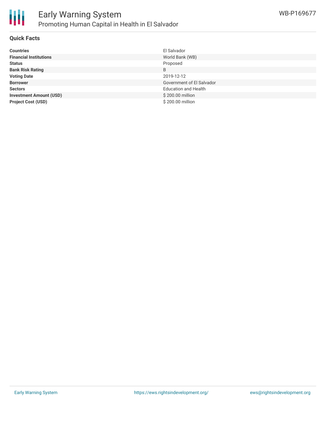

## **Quick Facts**

| <b>Countries</b>               | El Salvador                 |
|--------------------------------|-----------------------------|
| <b>Financial Institutions</b>  | World Bank (WB)             |
| <b>Status</b>                  | Proposed                    |
| <b>Bank Risk Rating</b>        | B                           |
| <b>Voting Date</b>             | 2019-12-12                  |
| <b>Borrower</b>                | Government of El Salvador   |
| <b>Sectors</b>                 | <b>Education and Health</b> |
| <b>Investment Amount (USD)</b> | \$200.00 million            |
| <b>Project Cost (USD)</b>      | \$200.00 million            |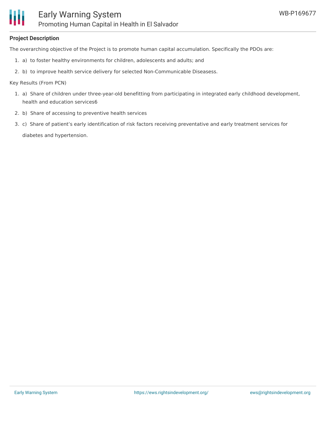## **Project Description**

The overarching objective of the Project is to promote human capital accumulation. Specifically the PDOs are:

- 1. a) to foster healthy environments for children, adolescents and adults; and
- 2. b) to improve health service delivery for selected Non-Communicable Diseasess.

Key Results (From PCN)

- 1. a) Share of children under three-year-old benefitting from participating in integrated early childhood development, health and education services6
- 2. b) Share of accessing to preventive health services
- 3. c) Share of patient's early identification of risk factors receiving preventative and early treatment services for diabetes and hypertension.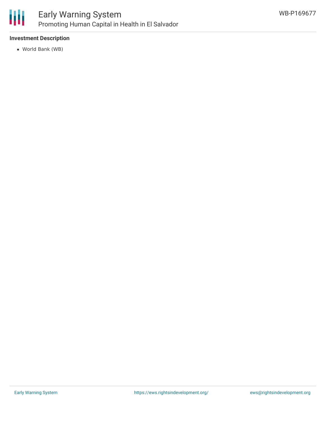

## Early Warning System Promoting Human Capital in Health in El Salvador

## **Investment Description**

World Bank (WB)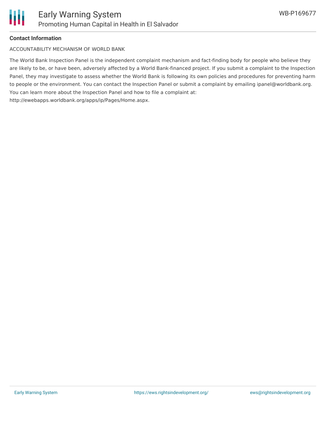

## **Contact Information**

ACCOUNTABILITY MECHANISM OF WORLD BANK

The World Bank Inspection Panel is the independent complaint mechanism and fact-finding body for people who believe they are likely to be, or have been, adversely affected by a World Bank-financed project. If you submit a complaint to the Inspection Panel, they may investigate to assess whether the World Bank is following its own policies and procedures for preventing harm to people or the environment. You can contact the Inspection Panel or submit a complaint by emailing ipanel@worldbank.org. You can learn more about the Inspection Panel and how to file a complaint at: http://ewebapps.worldbank.org/apps/ip/Pages/Home.aspx.